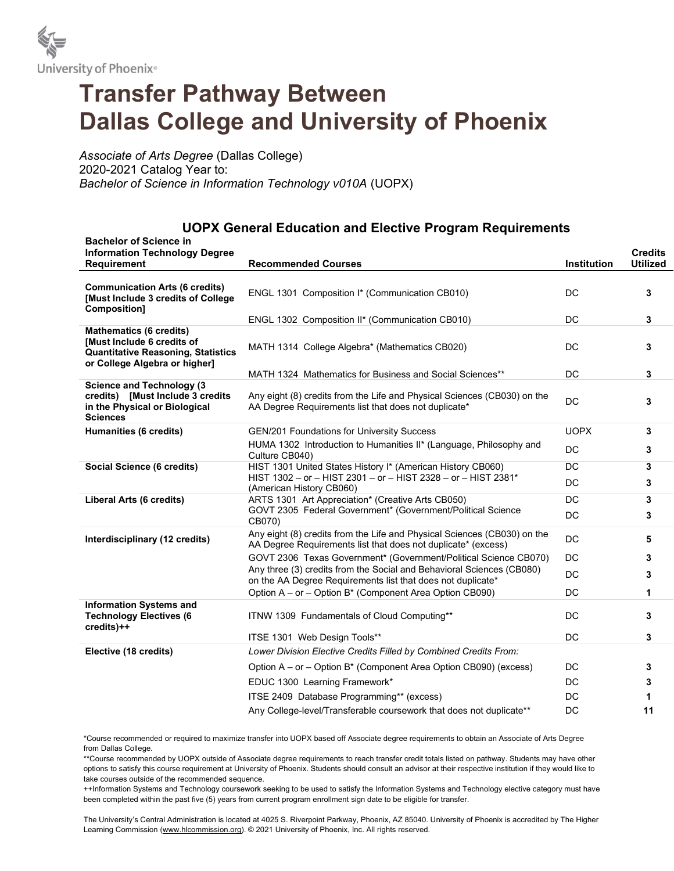

## Transfer Pathway Between Dallas College and University of Phoenix

Associate of Arts Degree (Dallas College) 2020-2021 Catalog Year to: Bachelor of Science in Information Technology v010A (UOPX)

## UOPX General Education and Elective Program Requirements

|  | <b>Bachelor of Science in</b><br><b>Information Technology Degree</b>                                                    |                                                                                                                                           |                 | <b>Credits</b>  |
|--|--------------------------------------------------------------------------------------------------------------------------|-------------------------------------------------------------------------------------------------------------------------------------------|-----------------|-----------------|
|  | <b>Requirement</b>                                                                                                       | <b>Recommended Courses</b>                                                                                                                | Institution     | <b>Utilized</b> |
|  | <b>Communication Arts (6 credits)</b><br>[Must Include 3 credits of College<br>Composition]                              | ENGL 1301 Composition I* (Communication CB010)<br>ENGL 1302 Composition II* (Communication CB010)                                         | <b>DC</b><br>DC | 3<br>3          |
|  | <b>Mathematics (6 credits)</b>                                                                                           |                                                                                                                                           |                 |                 |
|  | [Must Include 6 credits of<br><b>Quantitative Reasoning, Statistics</b><br>or College Algebra or higher]                 | MATH 1314 College Algebra* (Mathematics CB020)                                                                                            | DC              | 3               |
|  |                                                                                                                          | MATH 1324 Mathematics for Business and Social Sciences**                                                                                  | DC              | 3               |
|  | <b>Science and Technology (3</b><br>credits) [Must Include 3 credits<br>in the Physical or Biological<br><b>Sciences</b> | Any eight (8) credits from the Life and Physical Sciences (CB030) on the<br>AA Degree Requirements list that does not duplicate*          | DC              | 3               |
|  | Humanities (6 credits)                                                                                                   | <b>GEN/201 Foundations for University Success</b>                                                                                         | <b>UOPX</b>     | 3               |
|  |                                                                                                                          | HUMA 1302 Introduction to Humanities II* (Language, Philosophy and<br>Culture CB040)                                                      | DC              | 3               |
|  | Social Science (6 credits)                                                                                               | HIST 1301 United States History I* (American History CB060)                                                                               | <b>DC</b>       | 3               |
|  |                                                                                                                          | HIST 1302 - or - HIST 2301 - or - HIST 2328 - or - HIST 2381*<br>(American History CB060)                                                 | DC              | 3               |
|  | Liberal Arts (6 credits)                                                                                                 | ARTS 1301 Art Appreciation* (Creative Arts CB050)                                                                                         | DC              | 3               |
|  |                                                                                                                          | GOVT 2305 Federal Government* (Government/Political Science<br>CB070)                                                                     | DC              | 3               |
|  | Interdisciplinary (12 credits)                                                                                           | Any eight (8) credits from the Life and Physical Sciences (CB030) on the<br>AA Degree Requirements list that does not duplicate* (excess) | DC              | 5               |
|  |                                                                                                                          | GOVT 2306 Texas Government* (Government/Political Science CB070)                                                                          | DC              | 3               |
|  |                                                                                                                          | Any three (3) credits from the Social and Behavioral Sciences (CB080)<br>on the AA Degree Requirements list that does not duplicate*      | DC              | 3               |
|  |                                                                                                                          | Option A - or - Option B* (Component Area Option CB090)                                                                                   | DC              | 1               |
|  | <b>Information Systems and</b><br><b>Technology Electives (6</b><br>credits)++                                           | ITNW 1309 Fundamentals of Cloud Computing**                                                                                               | DC              | 3               |
|  |                                                                                                                          | ITSE 1301 Web Design Tools**                                                                                                              | DC              | 3               |
|  | Elective (18 credits)                                                                                                    | Lower Division Elective Credits Filled by Combined Credits From:                                                                          |                 |                 |
|  |                                                                                                                          | Option A - or - Option B* (Component Area Option CB090) (excess)                                                                          | DC              | 3               |
|  |                                                                                                                          | EDUC 1300 Learning Framework*                                                                                                             | DC              | 3               |
|  |                                                                                                                          | ITSE 2409 Database Programming** (excess)                                                                                                 | DC              | 1               |
|  |                                                                                                                          | Any College-level/Transferable coursework that does not duplicate**                                                                       | DC              | 11              |
|  |                                                                                                                          |                                                                                                                                           |                 |                 |

\*Course recommended or required to maximize transfer into UOPX based off Associate degree requirements to obtain an Associate of Arts Degree from Dallas College.

\*\*Course recommended by UOPX outside of Associate degree requirements to reach transfer credit totals listed on pathway. Students may have other options to satisfy this course requirement at University of Phoenix. Students should consult an advisor at their respective institution if they would like to take courses outside of the recommended sequence.

++Information Systems and Technology coursework seeking to be used to satisfy the Information Systems and Technology elective category must have been completed within the past five (5) years from current program enrollment sign date to be eligible for transfer.

The University's Central Administration is located at 4025 S. Riverpoint Parkway, Phoenix, AZ 85040. University of Phoenix is accredited by The Higher Learning Commission (www.hlcommission.org). © 2021 University of Phoenix, Inc. All rights reserved.